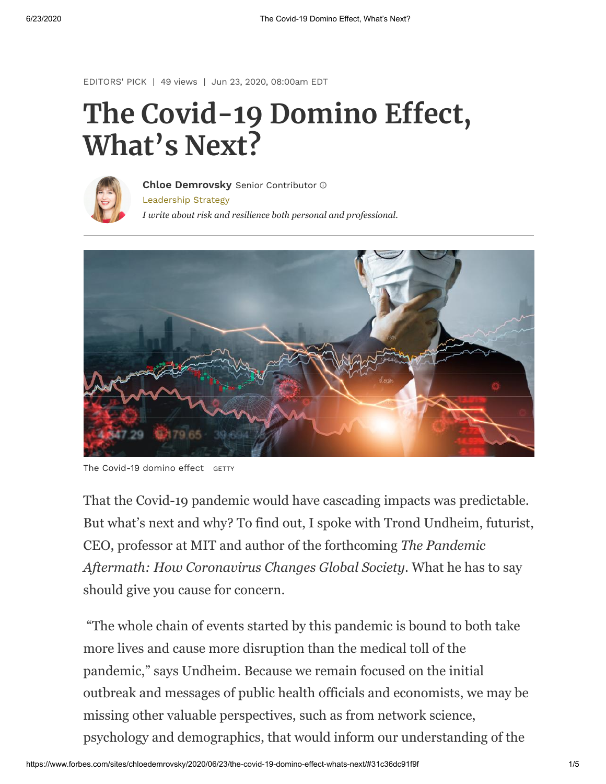[EDITORS'](https://www.forbes.com/editors-picks) PICK | 49 views | Jun 23, 2020, 08:00am EDT

# **The Covid-19 Domino Effect, What's Next?**



[Leadership](https://www.forbes.com/leadership-strategy) Strategy *I write about risk and resilience both personal and professional.* **Chloe [Demrovsky](https://www.forbes.com/sites/chloedemrovsky/)** Senior Contributor



The Covid-19 domino effect GETTY

That the Covid-19 pandemic would have cascading impacts was predictable. But what's next and why? To find out, I spoke with Trond Undheim, futurist, CEO, professor at MIT and author of the forthcoming *The Pandemic Aftermath: How Coronavirus Changes Global Society*. What he has to say should give you cause for concern.

 "The whole chain of events started by this pandemic is bound to both take more lives and cause more disruption than the medical toll of the pandemic," says Undheim. Because we remain focused on the initial outbreak and messages of public health officials and economists, we may be missing other valuable perspectives, such as from network science, psychology and demographics, that would inform our understanding of the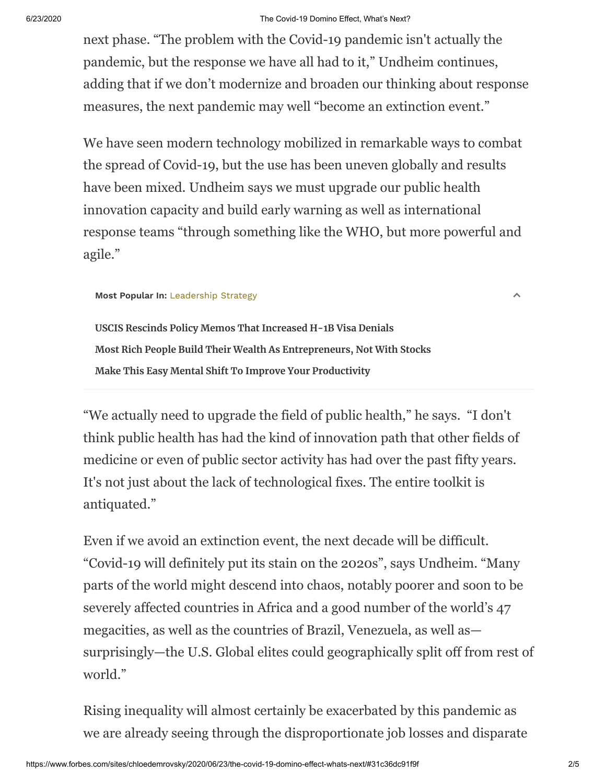### 6/23/2020 The Covid-19 Domino Effect, What's Next?

next phase. "The problem with the Covid-19 pandemic isn't actually the pandemic, but the response we have all had to it," Undheim continues, adding that if we don't modernize and broaden our thinking about response measures, the next pandemic may well "become an extinction event."

We have seen modern technology mobilized in remarkable ways to combat the spread of Covid-19, but the use has been uneven globally and results have been mixed. Undheim says we must upgrade our public health innovation capacity and build early warning as well as international response teams "through something like the WHO, but more powerful and agile."

### **Most Popular In:** [Leadership](https://www.forbes.com/leadership-strategy) Strategy

 $\land$ 

**[USCIS Rescinds Policy Memos That Increased H-1B Visa Denials](https://www.forbes.com/sites/stuartanderson/2020/06/22/uscis-rescinds-policy-memos-that-increased-h-1b-visa-denials/) [Most Rich People Build Their Wealth As Entrepreneurs, Not With Stocks](https://www.forbes.com/sites/rainerzitelmann/2020/06/22/most-rich-people-build-their-wealth-as-entrepreneurs-not-with-stocks/) [Make This Easy Mental Shift To Improve Your Productivity](https://www.forbes.com/sites/maurathomas/2020/06/19/shift-to-attention-management-from-time-management-to-improve-your-productivity/)**

"We actually need to upgrade the field of public health," he says. "I don't think public health has had the kind of innovation path that other fields of medicine or even of public sector activity has had over the past fifty years. It's not just about the lack of technological fixes. The entire toolkit is antiquated."

Even if we avoid an extinction event, the next decade will be difficult. "Covid-19 will definitely put its stain on the 2020s", says Undheim. "Many parts of the world might descend into chaos, notably poorer and soon to be severely affected countries in Africa and a good number of the world's 47 megacities, as well as the countries of Brazil, Venezuela, as well as surprisingly—the U.S. Global elites could geographically split off from rest of world."

Rising inequality will almost certainly be exacerbated by this pandemic as we are already seeing through the disproportionate job losses and disparate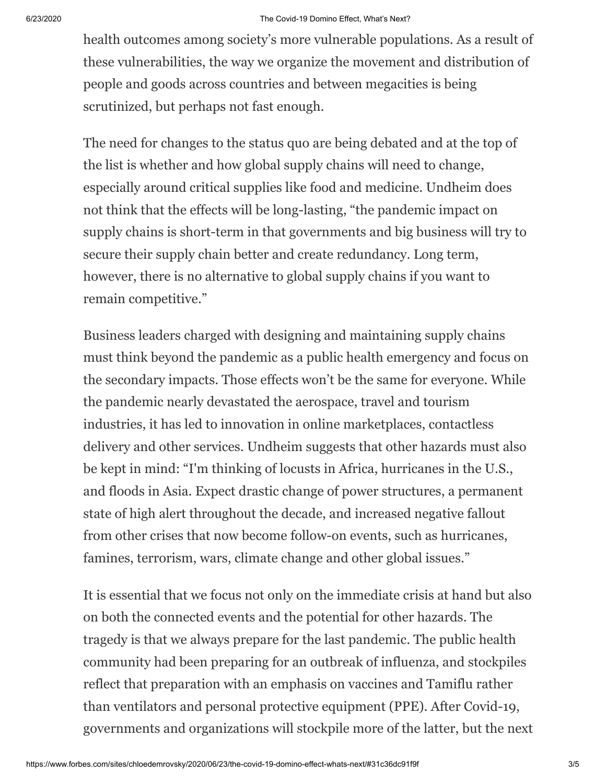#### 6/23/2020 The Covid-19 Domino Effect, What's Next?

health outcomes among society's more vulnerable populations. As a result of these vulnerabilities, the way we organize the movement and distribution of people and goods across countries and between megacities is being scrutinized, but perhaps not fast enough.

The need for changes to the status quo are being debated and at the top of the list is whether and how global supply chains will need to change, especially around critical supplies like food and medicine. Undheim does not think that the effects will be long-lasting, "the pandemic impact on supply chains is short-term in that governments and big business will try to secure their supply chain better and create redundancy. Long term, however, there is no alternative to global supply chains if you want to remain competitive."

Business leaders charged with designing and maintaining supply chains must think beyond the pandemic as a public health emergency and focus on the secondary impacts. Those effects won't be the same for everyone. While the pandemic nearly devastated the aerospace, travel and tourism industries, it has led to innovation in online marketplaces, contactless delivery and other services. Undheim suggests that other hazards must also be kept in mind: "I'm thinking of locusts in Africa, hurricanes in the U.S., and floods in Asia. Expect drastic change of power structures, a permanent state of high alert throughout the decade, and increased negative fallout from other crises that now become follow-on events, such as hurricanes, famines, terrorism, wars, climate change and other global issues."

It is essential that we focus not only on the immediate crisis at hand but also on both the connected events and the potential for other hazards. The tragedy is that we always prepare for the last pandemic. The public health community had been preparing for an outbreak of influenza, and stockpiles reflect that preparation with an emphasis on vaccines and Tamiflu rather than ventilators and personal protective equipment (PPE). After Covid-19, governments and organizations will stockpile more of the latter, but the next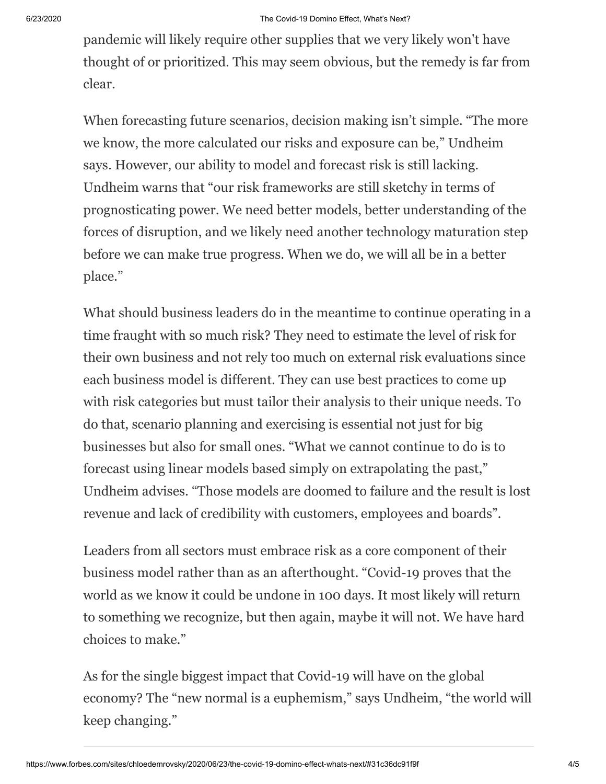pandemic will likely require other supplies that we very likely won't have thought of or prioritized. This may seem obvious, but the remedy is far from clear.

When forecasting future scenarios, decision making isn't simple. "The more we know, the more calculated our risks and exposure can be," Undheim says. However, our ability to model and forecast risk is still lacking. Undheim warns that "our risk frameworks are still sketchy in terms of prognosticating power. We need better models, better understanding of the forces of disruption, and we likely need another technology maturation step before we can make true progress. When we do, we will all be in a better place."

What should business leaders do in the meantime to continue operating in a time fraught with so much risk? They need to estimate the level of risk for their own business and not rely too much on external risk evaluations since each business model is different. They can use best practices to come up with risk categories but must tailor their analysis to their unique needs. To do that, scenario planning and exercising is essential not just for big businesses but also for small ones. "What we cannot continue to do is to forecast using linear models based simply on extrapolating the past," Undheim advises. "Those models are doomed to failure and the result is lost revenue and lack of credibility with customers, employees and boards".

Leaders from all sectors must embrace risk as a core component of their business model rather than as an afterthought. "Covid-19 proves that the world as we know it could be undone in 100 days. It most likely will return to something we recognize, but then again, maybe it will not. We have hard choices to make."

As for the single biggest impact that Covid-19 will have on the global economy? The "new normal is a euphemism," says Undheim, "the world will keep changing."